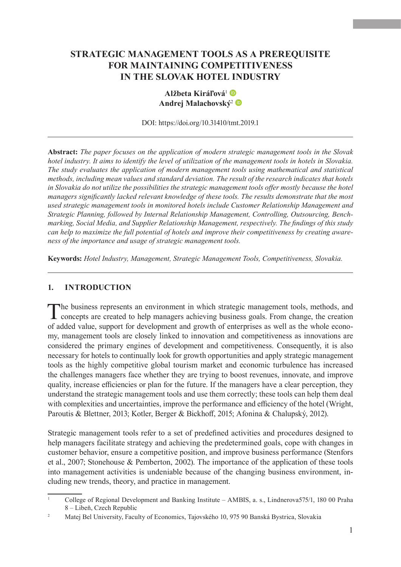# **STRATEGIC MANAGEMENT TOOLS AS A PREREQUISITE FOR MAINTAINING COMPETITIVENESS IN THE SLOVAK HOTEL INDUSTRY**



DOI: <https://doi.org/10.31410/tmt.2019.1>

**Abstract:** *The paper focuses on the application of modern strategic management tools in the Slovak hotel industry. It aims to identify the level of utilization of the management tools in hotels in Slovakia. The study evaluates the application of modern management tools using mathematical and statistical methods, including mean values and standard deviation. The result of the research indicates that hotels in Slovakia do not utilize the possibilities the strategic management tools offer mostly because the hotel managers significantly lacked relevant knowledge of these tools. The results demonstrate that the most used strategic management tools in monitored hotels include Customer Relationship Management and Strategic Planning, followed by Internal Relationship Management, Controlling, Outsourcing, Benchmarking, Social Media, and Supplier Relationship Management, respectively. The findings of this study can help to maximize the full potential of hotels and improve their competitiveness by creating awareness of the importance and usage of strategic management tools.*

**Keywords:** *Hotel Industry, Management, Strategic Management Tools, Competitiveness, Slovakia.*

#### **1. INTRODUCTION**

The business represents an environment in which strategic management tools, methods, and **L** concepts are created to help managers achieving business goals. From change, the creation of added value, support for development and growth of enterprises as well as the whole economy, management tools are closely linked to innovation and competitiveness as innovations are considered the primary engines of development and competitiveness. Consequently, it is also necessary for hotels to continually look for growth opportunities and apply strategic management tools as the highly competitive global tourism market and economic turbulence has increased the challenges managers face whether they are trying to boost revenues, innovate, and improve quality, increase efficiencies or plan for the future. If the managers have a clear perception, they understand the strategic management tools and use them correctly; these tools can help them deal with complexities and uncertainties, improve the performance and efficiency of the hotel (Wright, Paroutis & Blettner, 2013; Kotler, Berger & Bickhoff, 2015; Afonina & Chalupský, 2012).

Strategic management tools refer to a set of predefined activities and procedures designed to help managers facilitate strategy and achieving the predetermined goals, cope with changes in customer behavior, ensure a competitive position, and improve business performance (Stenfors et al., 2007; Stonehouse & Pemberton, 2002). The importance of the application of these tools into management activities is undeniable because of the changing business environment, including new trends, theory, and practice in management.

<sup>&</sup>lt;sup>1</sup> College of Regional Development and Banking Institute – AMBIS, a. s., Lindnerova575/1, 180 00 Praha 8 – Libeň, Czech Republic

<sup>2</sup> Matej Bel University, Faculty of Economics, Tajovského 10, 975 90 Banská Bystrica, Slovakia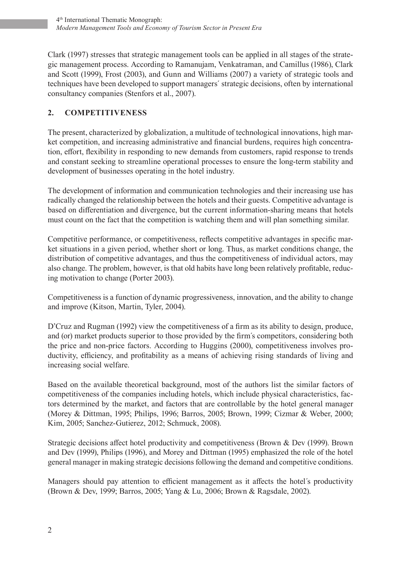Clark (1997) stresses that strategic management tools can be applied in all stages of the strategic management process. According to Ramanujam, Venkatraman, and Camillus (1986), Clark and Scott (1999), Frost (2003), and Gunn and Williams (2007) a variety of strategic tools and techniques have been developed to support managers´ strategic decisions, often by international consultancy companies (Stenfors et al., 2007).

## **2. COMPETITIVENESS**

The present, characterized by globalization, a multitude of technological innovations, high market competition, and increasing administrative and financial burdens, requires high concentration, effort, flexibility in responding to new demands from customers, rapid response to trends and constant seeking to streamline operational processes to ensure the long-term stability and development of businesses operating in the hotel industry.

The development of information and communication technologies and their increasing use has radically changed the relationship between the hotels and their guests. Competitive advantage is based on differentiation and divergence, but the current information-sharing means that hotels must count on the fact that the competition is watching them and will plan something similar.

Competitive performance, or competitiveness, reflects competitive advantages in specific market situations in a given period, whether short or long. Thus, as market conditions change, the distribution of competitive advantages, and thus the competitiveness of individual actors, may also change. The problem, however, is that old habits have long been relatively profitable, reducing motivation to change (Porter 2003).

Competitiveness is a function of dynamic progressiveness, innovation, and the ability to change and improve (Kitson, Martin, Tyler, 2004).

D'Cruz and Rugman (1992) view the competitiveness of a firm as its ability to design, produce, and (or) market products superior to those provided by the firm´s competitors, considering both the price and non-price factors. According to Huggins (2000), competitiveness involves productivity, efficiency, and profitability as a means of achieving rising standards of living and increasing social welfare.

Based on the available theoretical background, most of the authors list the similar factors of competitiveness of the companies including hotels, which include physical characteristics, factors determined by the market, and factors that are controllable by the hotel general manager (Morey & Dittman, 1995; Philips, 1996; Barros, 2005; Brown, 1999; Cizmar & Weber, 2000; Kim, 2005; Sanchez-Gutierez, 2012; Schmuck, 2008).

Strategic decisions affect hotel productivity and competitiveness (Brown & Dev (1999). Brown and Dev (1999), Philips (1996), and Morey and Dittman (1995) emphasized the role of the hotel general manager in making strategic decisions following the demand and competitive conditions.

Managers should pay attention to efficient management as it affects the hotel´s productivity (Brown & Dev, 1999; Barros, 2005; Yang & Lu, 2006; Brown & Ragsdale, 2002).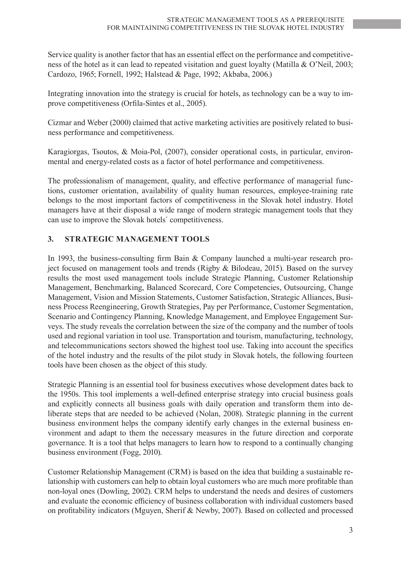Service quality is another factor that has an essential effect on the performance and competitiveness of the hotel as it can lead to repeated visitation and guest loyalty (Matilla & O'Neil, 2003; Cardozo, 1965; Fornell, 1992; Halstead & Page, 1992; Akbaba, 2006.)

Integrating innovation into the strategy is crucial for hotels, as technology can be a way to improve competitiveness (Orfila-Sintes et al., 2005).

Cizmar and Weber (2000) claimed that active marketing activities are positively related to business performance and competitiveness.

Karagiorgas, Tsoutos, & Moia-Pol, (2007), consider operational costs, in particular, environmental and energy-related costs as a factor of hotel performance and competitiveness.

The professionalism of management, quality, and effective performance of managerial functions, customer orientation, availability of quality human resources, employee-training rate belongs to the most important factors of competitiveness in the Slovak hotel industry. Hotel managers have at their disposal a wide range of modern strategic management tools that they can use to improve the Slovak hotels´ competitiveness.

### **3. STRATEGIC MANAGEMENT TOOLS**

In 1993, the business-consulting firm Bain & Company launched a multi-year research project focused on management tools and trends (Rigby & Bilodeau, 2015). Based on the survey results the most used management tools include Strategic Planning, Customer Relationship Management, Benchmarking, Balanced Scorecard, Core Competencies, Outsourcing, Change Management, Vision and Mission Statements, Customer Satisfaction, Strategic Alliances, Business Process Reengineering, Growth Strategies, Pay per Performance, Customer Segmentation, Scenario and Contingency Planning, Knowledge Management, and Employee Engagement Surveys. The study reveals the correlation between the size of the company and the number of tools used and regional variation in tool use. Transportation and tourism, manufacturing, technology, and telecommunications sectors showed the highest tool use. Taking into account the specifics of the hotel industry and the results of the pilot study in Slovak hotels, the following fourteen tools have been chosen as the object of this study.

Strategic Planning is an essential tool for business executives whose development dates back to the 1950s. This tool implements a well-defined enterprise strategy into crucial business goals and explicitly connects all business goals with daily operation and transform them into deliberate steps that are needed to be achieved (Nolan, 2008). Strategic planning in the current business environment helps the company identify early changes in the external business environment and adapt to them the necessary measures in the future direction and corporate governance. It is a tool that helps managers to learn how to respond to a continually changing business environment (Fogg, 2010).

Customer Relationship Management (CRM) is based on the idea that building a sustainable relationship with customers can help to obtain loyal customers who are much more profitable than non-loyal ones (Dowling, 2002). CRM helps to understand the needs and desires of customers and evaluate the economic efficiency of business collaboration with individual customers based on profitability indicators (Mguyen, Sherif & Newby, 2007). Based on collected and processed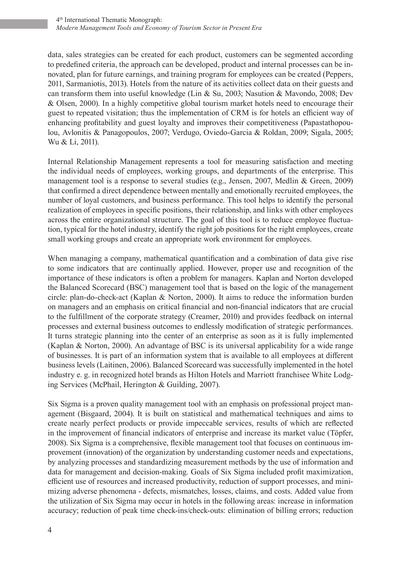data, sales strategies can be created for each product, customers can be segmented according to predefined criteria, the approach can be developed, product and internal processes can be innovated, plan for future earnings, and training program for employees can be created (Peppers, 2011, Sarmaniotis, 2013). Hotels from the nature of its activities collect data on their guests and can transform them into useful knowledge (Lin & Su, 2003; Nasution & Mavondo, 2008; Dev & Olsen, 2000). In a highly competitive global tourism market hotels need to encourage their guest to repeated visitation; thus the implementation of CRM is for hotels an efficient way of enhancing profitability and guest loyalty and improves their competitiveness (Papastathopoulou, Avlonitis & Panagopoulos, 2007; Verdugo, Oviedo-Garcia & Roldan, 2009; Sigala, 2005; Wu & Li, 2011).

Internal Relationship Management represents a tool for measuring satisfaction and meeting the individual needs of employees, working groups, and departments of the enterprise. This management tool is a response to several studies (e.g., Jensen, 2007, Medlin & Green, 2009) that confirmed a direct dependence between mentally and emotionally recruited employees, the number of loyal customers, and business performance. This tool helps to identify the personal realization of employees in specific positions, their relationship, and links with other employees across the entire organizational structure. The goal of this tool is to reduce employee fluctuation, typical for the hotel industry, identify the right job positions for the right employees, create small working groups and create an appropriate work environment for employees.

When managing a company, mathematical quantification and a combination of data give rise to some indicators that are continually applied. However, proper use and recognition of the importance of these indicators is often a problem for managers. Kaplan and Norton developed the Balanced Scorecard (BSC) management tool that is based on the logic of the management circle: plan-do-check-act (Kaplan & Norton, 2000). It aims to reduce the information burden on managers and an emphasis on critical financial and non-financial indicators that are crucial to the fulfillment of the corporate strategy (Creamer, 2010) and provides feedback on internal processes and external business outcomes to endlessly modification of strategic performances. It turns strategic planning into the center of an enterprise as soon as it is fully implemented (Kaplan & Norton, 2000). An advantage of BSC is its universal applicability for a wide range of businesses. It is part of an information system that is available to all employees at different business levels (Laitinen, 2006). Balanced Scorecard was successfully implemented in the hotel industry e. g. in recognized hotel brands as Hilton Hotels and Marriott franchisee White Lodging Services (McPhail, Herington & Guilding, 2007).

Six Sigma is a proven quality management tool with an emphasis on professional project management (Bisgaard, 2004). It is built on statistical and mathematical techniques and aims to create nearly perfect products or provide impeccable services, results of which are reflected in the improvement of financial indicators of enterprise and increase its market value (Töpfer, 2008). Six Sigma is a comprehensive, flexible management tool that focuses on continuous improvement (innovation) of the organization by understanding customer needs and expectations, by analyzing processes and standardizing measurement methods by the use of information and data for management and decision-making. Goals of Six Sigma included profit maximization, efficient use of resources and increased productivity, reduction of support processes, and minimizing adverse phenomena - defects, mismatches, losses, claims, and costs. Added value from the utilization of Six Sigma may occur in hotels in the following areas: increase in information accuracy; reduction of peak time check-ins/check-outs: elimination of billing errors; reduction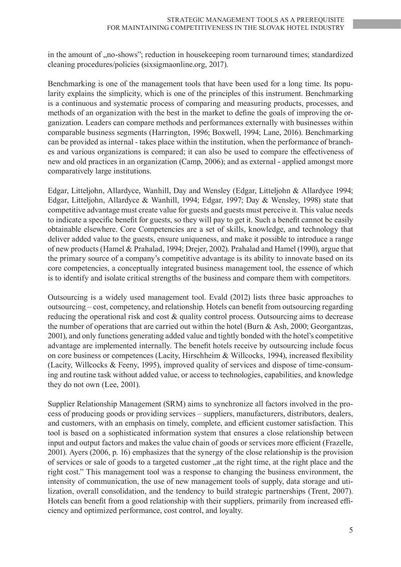in the amount of ,,no-shows"; reduction in housekeeping room turnaround times; standardized cleaning procedures/policies (sixsigmaonline.org, 2017).

Benchmarking is one of the management tools that have been used for a long time. Its popularity explains the simplicity, which is one of the principles of this instrument. Benchmarking is a continuous and systematic process of comparing and measuring products, processes, and methods of an organization with the best in the market to define the goals of improving the organization. Leaders can compare methods and performances externally with businesses within comparable business segments (Harrington, 1996; Boxwell, 1994; Lane, 2016). Benchmarking can be provided as internal - takes place within the institution, when the performance of branches and various organizations is compared; it can also be used to compare the effectiveness of new and old practices in an organization (Camp, 2006); and as external - applied amongst more comparatively large institutions.

Edgar, Litteljohn, Allardyce, Wanhill, Day and Wensley (Edgar, Litteljohn & Allardyce 1994; Edgar, Litteljohn, Allardyce & Wanhill, 1994; Edgar, 1997; Day & Wensley, 1998) state that competitive advantage must create value for guests and guests must perceive it. This value needs to indicate a specific benefit for guests, so they will pay to get it. Such a benefit cannot be easily obtainable elsewhere. Core Competencies are a set of skills, knowledge, and technology that deliver added value to the guests, ensure uniqueness, and make it possible to introduce a range of new products (Hamel & Prahalad, 1994; Drejer, 2002). Prahalad and Hamel (1990), argue that the primary source of a company's competitive advantage is its ability to innovate based on its core competencies, a conceptually integrated business management tool, the essence of which is to identify and isolate critical strengths of the business and compare them with competitors.

Outsourcing is a widely used management tool. Evald (2012) lists three basic approaches to outsourcing – cost, competency, and relationship. Hotels can benefit from outsourcing regarding reducing the operational risk and cost & quality control process. Outsourcing aims to decrease the number of operations that are carried out within the hotel (Burn & Ash, 2000; Georgantzas, 2001), and only functions generating added value and tightly bonded with the hotel's competitive advantage are implemented internally. The benefit hotels receive by outsourcing include focus on core business or competences (Lacity, Hirschheim & Willcocks, 1994), increased flexibility (Lacity, Willcocks & Feeny, 1995), improved quality of services and dispose of time-consuming and routine task without added value, or access to technologies, capabilities, and knowledge they do not own (Lee, 2001).

Supplier Relationship Management (SRM) aims to synchronize all factors involved in the process of producing goods or providing services – suppliers, manufacturers, distributors, dealers, and customers, with an emphasis on timely, complete, and efficient customer satisfaction. This tool is based on a sophisticated information system that ensures a close relationship between input and output factors and makes the value chain of goods or services more efficient (Frazelle, 2001). Ayers (2006, p. 16) emphasizes that the synergy of the close relationship is the provision of services or sale of goods to a targeted customer, at the right time, at the right place and the right cost." This management tool was a response to changing the business environment, the intensity of communication, the use of new management tools of supply, data storage and utilization, overall consolidation, and the tendency to build strategic partnerships (Trent, 2007). Hotels can benefit from a good relationship with their suppliers, primarily from increased efficiency and optimized performance, cost control, and loyalty.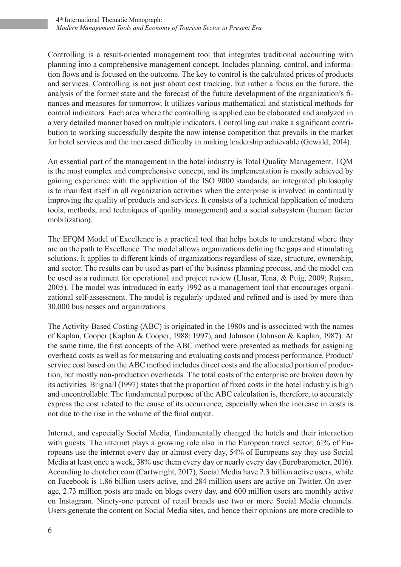Controlling is a result-oriented management tool that integrates traditional accounting with planning into a comprehensive management concept. Includes planning, control, and information flows and is focused on the outcome. The key to control is the calculated prices of products and services. Controlling is not just about cost tracking, but rather a focus on the future, the analysis of the former state and the forecast of the future development of the organization's finances and measures for tomorrow. It utilizes various mathematical and statistical methods for control indicators. Each area where the controlling is applied can be elaborated and analyzed in a very detailed manner based on multiple indicators. Controlling can make a significant contribution to working successfully despite the now intense competition that prevails in the market for hotel services and the increased difficulty in making leadership achievable (Gewald, 2014).

An essential part of the management in the hotel industry is Total Quality Management. TQM is the most complex and comprehensive concept, and its implementation is mostly achieved by gaining experience with the application of the ISO 9000 standards, an integrated philosophy is to manifest itself in all organization activities when the enterprise is involved in continually improving the quality of products and services. It consists of a technical (application of modern tools, methods, and techniques of quality management) and a social subsystem (human factor mobilization).

The EFQM Model of Excellence is a practical tool that helps hotels to understand where they are on the path to Excellence. The model allows organizations defining the gaps and stimulating solutions. It applies to different kinds of organizations regardless of size, structure, ownership, and sector. The results can be used as part of the business planning process, and the model can be used as a rudiment for operational and project review (Llusar, Tena, & Puig, 2009; Rujsan, 2005). The model was introduced in early 1992 as a management tool that encourages organizational self-assessment. The model is regularly updated and refined and is used by more than 30,000 businesses and organizations.

The Activity-Based Costing (ABC) is originated in the 1980s and is associated with the names of Kaplan, Cooper (Kaplan & Cooper, 1988; 1997), and Johnson (Johnson & Kaplan, 1987). At the same time, the first concepts of the ABC method were presented as methods for assigning overhead costs as well as for measuring and evaluating costs and process performance. Product/ service cost based on the ABC method includes direct costs and the allocated portion of production, but mostly non-production overheads. The total costs of the enterprise are broken down by its activities. Brignall (1997) states that the proportion of fixed costs in the hotel industry is high and uncontrollable. The fundamental purpose of the ABC calculation is, therefore, to accurately express the cost related to the cause of its occurrence, especially when the increase in costs is not due to the rise in the volume of the final output.

Internet, and especially Social Media, fundamentally changed the hotels and their interaction with guests. The internet plays a growing role also in the European travel sector; 61% of Europeans use the internet every day or almost every day, 54% of Europeans say they use Social Media at least once a week, 38% use them every day or nearly every day (Eurobarometer, 2016). According to ehotelier.com (Cartwright, 2017), Social Media have 2.3 billion active users, while on Facebook is 1.86 billion users active, and 284 million users are active on Twitter. On average, 2.73 million posts are made on blogs every day, and 600 million users are monthly active on Instagram. Ninety-one percent of retail brands use two or more Social Media channels. Users generate the content on Social Media sites, and hence their opinions are more credible to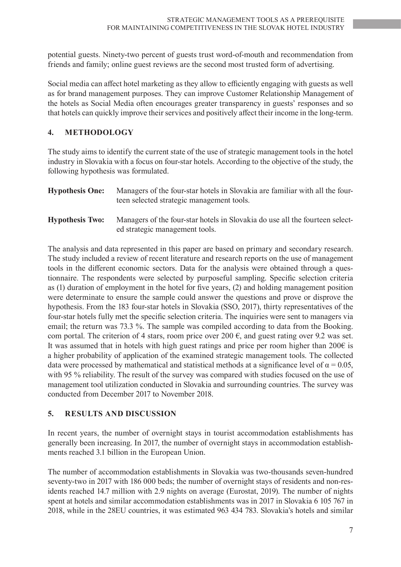potential guests. Ninety-two percent of guests trust word-of-mouth and recommendation from friends and family; online guest reviews are the second most trusted form of advertising.

Social media can affect hotel marketing as they allow to efficiently engaging with guests as well as for brand management purposes. They can improve Customer Relationship Management of the hotels as Social Media often encourages greater transparency in guests' responses and so that hotels can quickly improve their services and positively affect their income in the long-term.

#### **4. METHODOLOGY**

The study aims to identify the current state of the use of strategic management tools in the hotel industry in Slovakia with a focus on four-star hotels. According to the objective of the study, the following hypothesis was formulated.

| <b>Hypothesis One:</b> | Managers of the four-star hotels in Slovakia are familiar with all the four-<br>teen selected strategic management tools. |
|------------------------|---------------------------------------------------------------------------------------------------------------------------|
| <b>Hypothesis Two:</b> | Managers of the four-star hotels in Slovakia do use all the fourteen select-<br>ed strategic management tools.            |

The analysis and data represented in this paper are based on primary and secondary research. The study included a review of recent literature and research reports on the use of management tools in the different economic sectors. Data for the analysis were obtained through a questionnaire. The respondents were selected by purposeful sampling. Specific selection criteria as (1) duration of employment in the hotel for five years, (2) and holding management position were determinate to ensure the sample could answer the questions and prove or disprove the hypothesis. From the 183 four-star hotels in Slovakia (SSO, 2017), thirty representatives of the four-star hotels fully met the specific selection criteria. The inquiries were sent to managers via email; the return was 73.3 %. The sample was compiled according to data from the Booking. com portal. The criterion of 4 stars, room price over 200  $\epsilon$ , and guest rating over 9.2 was set. It was assumed that in hotels with high guest ratings and price per room higher than  $200\epsilon$  is a higher probability of application of the examined strategic management tools. The collected data were processed by mathematical and statistical methods at a significance level of  $\alpha = 0.05$ . with 95 % reliability. The result of the survey was compared with studies focused on the use of management tool utilization conducted in Slovakia and surrounding countries. The survey was conducted from December 2017 to November 2018.

### **5. RESULTS AND DISCUSSION**

In recent years, the number of overnight stays in tourist accommodation establishments has generally been increasing. In 2017, the number of overnight stays in accommodation establishments reached 3.1 billion in the European Union.

The number of accommodation establishments in Slovakia was two-thousands seven-hundred seventy-two in 2017 with 186 000 beds; the number of overnight stays of residents and non-residents reached 14.7 million with 2.9 nights on average (Eurostat, 2019). The number of nights spent at hotels and similar accommodation establishments was in 2017 in Slovakia 6 105 767 in 2018, while in the 28EU countries, it was estimated 963 434 783. Slovakia's hotels and similar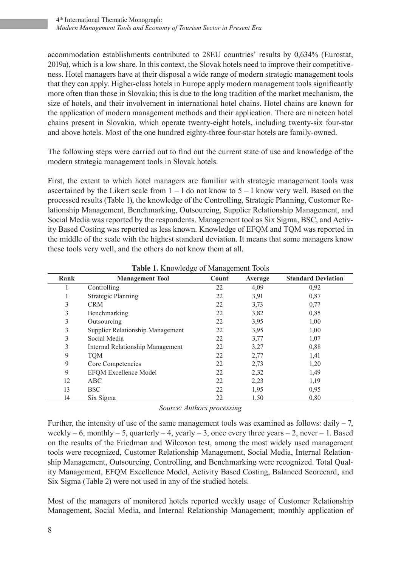accommodation establishments contributed to 28EU countries' results by 0,634% (Eurostat, 2019a), which is a low share. In this context, the Slovak hotels need to improve their competitiveness. Hotel managers have at their disposal a wide range of modern strategic management tools that they can apply. Higher-class hotels in Europe apply modern management tools significantly more often than those in Slovakia; this is due to the long tradition of the market mechanism, the size of hotels, and their involvement in international hotel chains. Hotel chains are known for the application of modern management methods and their application. There are nineteen hotel chains present in Slovakia, which operate twenty-eight hotels, including twenty-six four-star and above hotels. Most of the one hundred eighty-three four-star hotels are family-owned.

The following steps were carried out to find out the current state of use and knowledge of the modern strategic management tools in Slovak hotels.

First, the extent to which hotel managers are familiar with strategic management tools was ascertained by the Likert scale from  $1 - I$  do not know to  $5 - I$  know very well. Based on the processed results (Table 1), the knowledge of the Controlling, Strategic Planning, Customer Relationship Management, Benchmarking, Outsourcing, Supplier Relationship Management, and Social Media was reported by the respondents. Management tool as Six Sigma, BSC, and Activity Based Costing was reported as less known. Knowledge of EFQM and TQM was reported in the middle of the scale with the highest standard deviation. It means that some managers know these tools very well, and the others do not know them at all.

| Rank | <b>Management Tool</b>           | Count | Average | <b>Standard Deviation</b> |
|------|----------------------------------|-------|---------|---------------------------|
|      | Controlling                      | 22    | 4,09    | 0,92                      |
| л.   | <b>Strategic Planning</b>        | 22    | 3,91    | 0,87                      |
| 3    | <b>CRM</b>                       | 22    | 3,73    | 0,77                      |
| 3    | Benchmarking                     | 22    | 3,82    | 0,85                      |
| 3    | Outsourcing                      | 22    | 3,95    | 1,00                      |
| 3    | Supplier Relationship Management | 22    | 3,95    | 1,00                      |
| 3    | Social Media                     | 22    | 3,77    | 1,07                      |
| 3    | Internal Relationship Management | 22    | 3,27    | 0,88                      |
| 9    | <b>TQM</b>                       | 22    | 2,77    | 1,41                      |
| 9    | Core Competencies                | 22    | 2,73    | 1,20                      |
| 9    | <b>EFQM Excellence Model</b>     | 22    | 2,32    | 1,49                      |
| 12   | ABC                              | 22    | 2,23    | 1,19                      |
| 13   | <b>BSC</b>                       | 22    | 1,95    | 0,95                      |
| 14   | Six Sigma                        | 22    | 1,50    | 0,80                      |

**Table 1.** Knowledge of Management Tools

*Source: Authors processing*

Further, the intensity of use of the same management tools was examined as follows: daily  $-7$ , weekly – 6, monthly – 5, quarterly – 4, yearly – 3, once every three years – 2, never – 1. Based on the results of the Friedman and Wilcoxon test, among the most widely used management tools were recognized, Customer Relationship Management, Social Media, Internal Relationship Management, Outsourcing, Controlling, and Benchmarking were recognized. Total Quality Management, EFQM Excellence Model, Activity Based Costing, Balanced Scorecard, and Six Sigma (Table 2) were not used in any of the studied hotels.

Most of the managers of monitored hotels reported weekly usage of Customer Relationship Management, Social Media, and Internal Relationship Management; monthly application of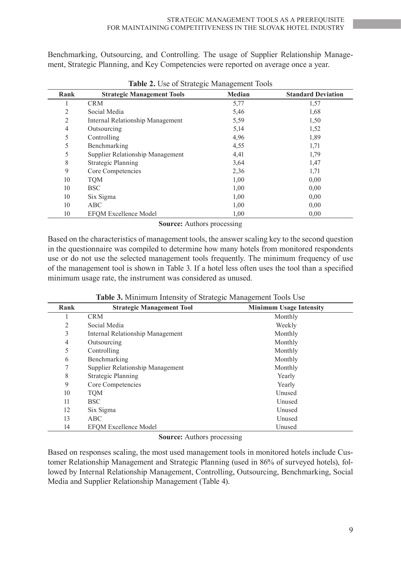Benchmarking, Outsourcing, and Controlling. The usage of Supplier Relationship Management, Strategic Planning, and Key Competencies were reported on average once a year.

| Rank | ັ<br><b>Strategic Management Tools</b> | ب<br>Median | <b>Standard Deviation</b> |
|------|----------------------------------------|-------------|---------------------------|
|      | <b>CRM</b>                             | 5,77        | 1,57                      |
| 2    | Social Media                           | 5,46        | 1,68                      |
| 2    | Internal Relationship Management       | 5,59        | 1,50                      |
| 4    | Outsourcing                            | 5,14        | 1,52                      |
| 5    | Controlling                            | 4,96        | 1,89                      |
| 5    | Benchmarking                           | 4,55        | 1,71                      |
| 5    | Supplier Relationship Management       | 4,41        | 1,79                      |
| 8    | <b>Strategic Planning</b>              | 3,64        | 1,47                      |
| 9    | Core Competencies                      | 2,36        | 1,71                      |
| 10   | <b>TQM</b>                             | 1,00        | 0,00                      |
| 10   | <b>BSC</b>                             | 1,00        | 0,00                      |
| 10   | Six Sigma                              | 1,00        | 0,00                      |
| 10   | ABC                                    | 1,00        | 0,00                      |
| 10   | <b>EFOM Excellence Model</b>           | 1,00        | 0,00                      |

**Table 2.** Use of Strategic Management Tools

**Source:** Authors processing

Based on the characteristics of management tools, the answer scaling key to the second question in the questionnaire was compiled to determine how many hotels from monitored respondents use or do not use the selected management tools frequently. The minimum frequency of use of the management tool is shown in Table 3. If a hotel less often uses the tool than a specified minimum usage rate, the instrument was considered as unused.

| Rank | <b>Strategic Management Tool</b> | <b>Minimum Usage Intensity</b> |
|------|----------------------------------|--------------------------------|
|      | <b>CRM</b>                       | Monthly                        |
| 2    | Social Media                     | Weekly                         |
| 3    | Internal Relationship Management | Monthly                        |
| 4    | Outsourcing                      | Monthly                        |
| 5    | Controlling                      | Monthly                        |
| 6    | Benchmarking                     | Monthly                        |
|      | Supplier Relationship Management | Monthly                        |
| 8    | <b>Strategic Planning</b>        | Yearly                         |
| 9    | Core Competencies                | Yearly                         |
| 10   | <b>TQM</b>                       | Unused                         |
| 11   | <b>BSC</b>                       | Unused                         |
| 12   | Six Sigma                        | Unused                         |
| 13   | ABC                              | Unused                         |
| 14   | <b>EFOM Excellence Model</b>     | Unused                         |

**Source:** Authors processing

Based on responses scaling, the most used management tools in monitored hotels include Customer Relationship Management and Strategic Planning (used in 86% of surveyed hotels), followed by Internal Relationship Management, Controlling, Outsourcing, Benchmarking, Social Media and Supplier Relationship Management (Table 4).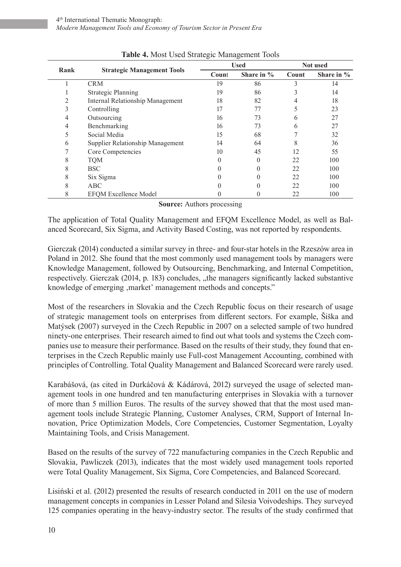| Rank | <b>Strategic Management Tools</b> | <b>Used</b> |               | Not used |            |
|------|-----------------------------------|-------------|---------------|----------|------------|
|      |                                   | Count       | Share in $\%$ | Count    | Share in % |
|      | <b>CRM</b>                        | 19          | 86            | 3        | 14         |
|      | <b>Strategic Planning</b>         | 19          | 86            | 3        | 14         |
| 2    | Internal Relationship Management  | 18          | 82            | 4        | 18         |
| 3    | Controlling                       | 17          | 77            |          | 23         |
| 4    | Outsourcing                       | 16          | 73            | 6        | 27         |
| 4    | Benchmarking                      | 16          | 73            | 6        | 27         |
| 5    | Social Media                      | 15          | 68            |          | 32         |
| 6    | Supplier Relationship Management  | 14          | 64            | 8        | 36         |
| 7    | Core Competencies                 | 10          | 45            | 12       | 55         |
| 8    | <b>TQM</b>                        |             | 0             | 22       | 100        |
| 8    | <b>BSC</b>                        |             |               | 22       | 100        |
| 8    | Six Sigma                         |             |               | 22       | 100        |
| 8    | ABC                               |             |               | 22       | 100        |
| 8    | <b>EFQM Excellence Model</b>      |             |               | 22       | 100        |

|  | Table 4. Most Used Strategic Management Tools |
|--|-----------------------------------------------|
|--|-----------------------------------------------|

**Source:** Authors processing

The application of Total Quality Management and EFQM Excellence Model, as well as Balanced Scorecard, Six Sigma, and Activity Based Costing, was not reported by respondents.

Gierczak (2014) conducted a similar survey in three- and four-star hotels in the Rzeszów area in Poland in 2012. She found that the most commonly used management tools by managers were Knowledge Management, followed by Outsourcing, Benchmarking, and Internal Competition, respectively. Gierczak (2014, p. 183) concludes, "the managers significantly lacked substantive knowledge of emerging , market' management methods and concepts."

Most of the researchers in Slovakia and the Czech Republic focus on their research of usage of strategic management tools on enterprises from different sectors. For example, Šiška and Matýsek (2007) surveyed in the Czech Republic in 2007 on a selected sample of two hundred ninety-one enterprises. Their research aimed to find out what tools and systems the Czech companies use to measure their performance. Based on the results of their study, they found that enterprises in the Czech Republic mainly use Full-cost Management Accounting, combined with principles of Controlling. Total Quality Management and Balanced Scorecard were rarely used.

Karabášová, (as cited in Durkáčová & Kádárová, 2012) surveyed the usage of selected management tools in one hundred and ten manufacturing enterprises in Slovakia with a turnover of more than 5 million Euros. The results of the survey showed that that the most used management tools include Strategic Planning, Customer Analyses, CRM, Support of Internal Innovation, Price Optimization Models, Core Competencies, Customer Segmentation, Loyalty Maintaining Tools, and Crisis Management.

Based on the results of the survey of 722 manufacturing companies in the Czech Republic and Slovakia, Pawliczek (2013), indicates that the most widely used management tools reported were Total Quality Management, Six Sigma, Core Competencies, and Balanced Scorecard.

Lisiński et al. (2012) presented the results of research conducted in 2011 on the use of modern management concepts in companies in Lesser Poland and Silesia Voivodeships. They surveyed 125 companies operating in the heavy-industry sector. The results of the study confirmed that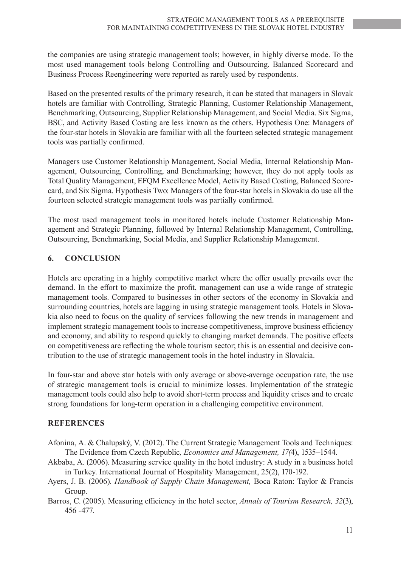the companies are using strategic management tools; however, in highly diverse mode. To the most used management tools belong Controlling and Outsourcing. Balanced Scorecard and Business Process Reengineering were reported as rarely used by respondents.

Based on the presented results of the primary research, it can be stated that managers in Slovak hotels are familiar with Controlling, Strategic Planning, Customer Relationship Management, Benchmarking, Outsourcing, Supplier Relationship Management, and Social Media. Six Sigma, BSC, and Activity Based Costing are less known as the others. Hypothesis One: Managers of the four-star hotels in Slovakia are familiar with all the fourteen selected strategic management tools was partially confirmed.

Managers use Customer Relationship Management, Social Media, Internal Relationship Management, Outsourcing, Controlling, and Benchmarking; however, they do not apply tools as Total Quality Management, EFQM Excellence Model, Activity Based Costing, Balanced Scorecard, and Six Sigma. Hypothesis Two: Managers of the four-star hotels in Slovakia do use all the fourteen selected strategic management tools was partially confirmed.

The most used management tools in monitored hotels include Customer Relationship Management and Strategic Planning, followed by Internal Relationship Management, Controlling, Outsourcing, Benchmarking, Social Media, and Supplier Relationship Management.

## **6. CONCLUSION**

Hotels are operating in a highly competitive market where the offer usually prevails over the demand. In the effort to maximize the profit, management can use a wide range of strategic management tools. Compared to businesses in other sectors of the economy in Slovakia and surrounding countries, hotels are lagging in using strategic management tools. Hotels in Slovakia also need to focus on the quality of services following the new trends in management and implement strategic management tools to increase competitiveness, improve business efficiency and economy, and ability to respond quickly to changing market demands. The positive effects on competitiveness are reflecting the whole tourism sector; this is an essential and decisive contribution to the use of strategic management tools in the hotel industry in Slovakia.

In four-star and above star hotels with only average or above-average occupation rate, the use of strategic management tools is crucial to minimize losses. Implementation of the strategic management tools could also help to avoid short-term process and liquidity crises and to create strong foundations for long-term operation in a challenging competitive environment.

#### **REFERENCES**

- Afonina, A. & Chalupský, V. (2012). The Current Strategic Management Tools and Techniques: The Evidence from Czech Republic*, Economics and Management, 17(*4), 1535–1544.
- Akbaba, A. (2006). Measuring service quality in the hotel industry: A study in a business hotel in Turkey. International Journal of Hospitality Management, 25(2), 170-192.
- Ayers, J. B. (2006). *Handbook of Supply Chain Management,* Boca Raton: Taylor & Francis Group.
- Barros, C. (2005). Measuring efficiency in the hotel sector, *Annals of Tourism Research, 32*(3), 456 -477.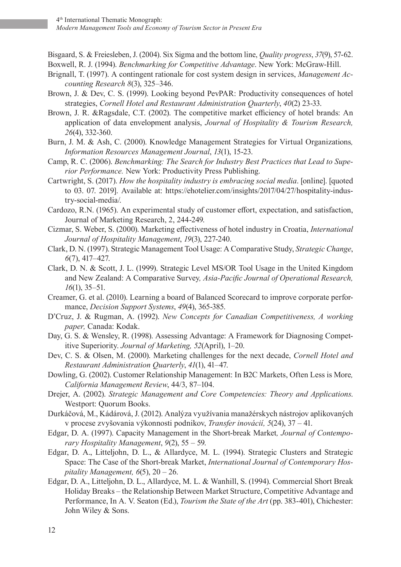Bisgaard, S. & Freiesleben, J. (2004). Six Sigma and the bottom line, *Quality progress*, *37*(9), 57-62. Boxwell, R. J. (1994). *Benchmarking for Competitive Advantage*. New York: McGraw-Hill.

- Brignall, T. (1997). A contingent rationale for cost system design in services, *Management Accounting Research 8*(3), 325–346.
- Brown, J. & Dev, C. S. (1999). Looking beyond PevPAR: Productivity consequences of hotel strategies, *Cornell Hotel and Restaurant Administration Quarterly*, *40*(2) 23-33.
- Brown, J. R. &Ragsdale, C.T. (2002). The competitive market efficiency of hotel brands: An application of data envelopment analysis, *Journal of Hospitality & Tourism Research, 26*(4), 332-360.
- Burn, J. M. & Ash, C. (2000). Knowledge Management Strategies for Virtual Organizations*, Information Resources Management Journal*, *13*(1), 15-23.
- Camp, R. C. (2006). *Benchmarking: The Search for Industry Best Practices that Lead to Superior Performance.* New York: Productivity Press Publishing.
- Cartwright, S. (2017). *How the hospitality industry is embracing social media*. [online]. [quoted to 03. 07. 2019]. Available at: https://ehotelier.com/insights/2017/04/27/hospitality-industry-social-media/.
- Cardozo, R.N. (1965). An experimental study of customer effort, expectation, and satisfaction, Journal of Marketing Research, 2, 244-249.
- Cizmar, S. Weber, S. (2000). Marketing effectiveness of hotel industry in Croatia, *International Journal of Hospitality Management*, *19*(3), 227-240.
- Clark, D. N. (1997). Strategic Management Tool Usage: A Comparative Study, *Strategic Change*, *6*(7), 417–427.
- Clark, D. N. & Scott, J. L. (1999). Strategic Level MS/OR Tool Usage in the United Kingdom and New Zealand: A Comparative Survey*, Asia-Pacific Journal of Operational Research, 16*(1), 35–51.
- Creamer, G. et al. (2010). Learning a board of Balanced Scorecard to improve corporate performance, *Decision Support Systems*, *49*(4), 365-385.
- D'Cruz, J. & Rugman, A. (1992). *New Concepts for Canadian Competitiveness, A working paper,* Canada: Kodak.
- Day, G. S. & Wensley, R. (1998). Assessing Advantage: A Framework for Diagnosing Competitive Superiority. *Journal of Marketing, 52*(April), 1–20.
- Dev, C. S. & Olsen, M. (2000). Marketing challenges for the next decade, *Cornell Hotel and Restaurant Administration Quarterly*, *41*(1), 41–47.
- Dowling, G. (2002). Customer Relationship Management: In B2C Markets, Often Less is More*, California Management Review*, 44/3, 87–104.
- Drejer, A. (2002). *Strategic Management and Core Competencies: Theory and Applications*. Westport: Quorum Books.
- Durkáčová, M., Kádárová, J. (2012). Analýza využívania manažérskych nástrojov aplikovaných v procese zvyšovania výkonnosti podnikov, *Transfer inovácií, 5*(24), 37 – 41.
- Edgar, D. A. (1997). Capacity Management in the Short-break Market*, Journal of Contemporary Hospitality Management*, *9*(2), 55 – 59.
- Edgar, D. A., Litteljohn, D. L., & Allardyce, M. L. (1994). Strategic Clusters and Strategic Space: The Case of the Short-break Market, *International Journal of Contemporary Hospitality Management, 6*(5), 20 – 26.
- Edgar, D. A., Litteljohn, D. L., Allardyce, M. L. & Wanhill, S. (1994). Commercial Short Break Holiday Breaks – the Relationship Between Market Structure, Competitive Advantage and Performance, In A. V. Seaton (Ed.), *Tourism the State of the Art* (pp. 383-401), Chichester: John Wiley & Sons.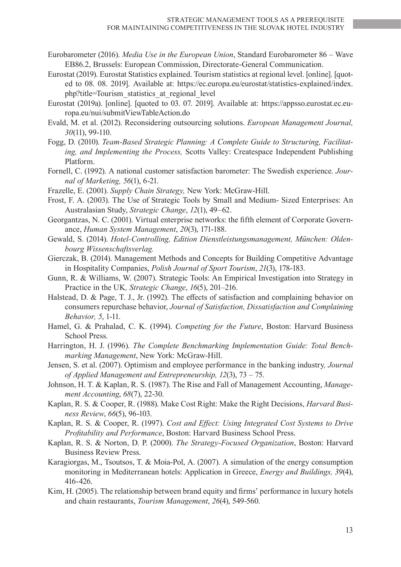- Eurobarometer (2016). *Media Use in the European Union*, Standard Eurobarometer 86 Wave EB86.2, Brussels: European Commission, Directorate-General Communication.
- Eurostat (2019). Eurostat Statistics explained. Tourism statistics at regional level. [online]. [quoted to 08. 08. 2019]. Available at: https://ec.europa.eu/eurostat/statistics-explained/index. php?title=Tourism\_statistics\_at\_regional\_level
- Eurostat (2019a). [online]. [quoted to 03. 07. 2019]. Available at: https://appsso.eurostat.ec.europa.eu/nui/submitViewTableAction.do
- Evald, M. et al. (2012). Reconsidering outsourcing solutions. *European Management Journal, 30*(11), 99-110.
- Fogg, D. (2010). *Team-Based Strategic Planning: A Complete Guide to Structuring, Facilitating, and Implementing the Process,* Scotts Valley: Createspace Independent Publishing Platform.
- Fornell, C. (1992). A national customer satisfaction barometer: The Swedish experience. *Journal of Marketing, 56*(1), 6-21.
- Frazelle, E. (2001). *Supply Chain Strategy,* New York: McGraw-Hill.
- Frost, F. A. (2003). The Use of Strategic Tools by Small and Medium‐ Sized Enterprises: An Australasian Study, *Strategic Change*, *12*(1), 49–62.
- Georgantzas, N. C. (2001). Virtual enterprise networks: the fifth element of Corporate Governance, *Human System Management*, *20*(3), 171-188.
- Gewald, S. (2014). *Hotel-Controlling, Edition Dienstleistungsmanagement, München: Oldenbourg Wissenschaftsverlag.*
- Gierczak, B. (2014). Management Methods and Concepts for Building Competitive Advantage in Hospitality Companies, *Polish Journal of Sport Tourism*, *21*(3), 178-183.
- Gunn, R. & Williams, W. (2007). Strategic Tools: An Empirical Investigation into Strategy in Practice in the UK*, Strategic Change*, *16*(5), 201–216.
- Halstead, D. & Page, T. J., Jr. (1992). The effects of satisfaction and complaining behavior on consumers repurchase behavior, *Journal of Satisfaction, Dissatisfaction and Complaining Behavior, 5*, 1-11.
- Hamel, G. & Prahalad, C. K. (1994). *Competing for the Future*, Boston: Harvard Business School Press.
- Harrington, H. J. (1996). *The Complete Benchmarking Implementation Guide: Total Benchmarking Management*, New York: McGraw-Hill.
- Jensen, S. et al. (2007). Optimism and employee performance in the banking industry*, Journal of Applied Management and Entrepreneurship, 12*(3), 73 – 75.
- Johnson, H. T. & Kaplan, R. S. (1987). The Rise and Fall of Management Accounting, *Management Accounting*, *68*(7), 22-30.
- Kaplan, R. S. & Cooper, R. (1988). Make Cost Right: Make the Right Decisions, *Harvard Business Review*, *66*(5), 96-103.
- Kaplan, R. S. & Cooper, R. (1997). *Cost and Effect: Using Integrated Cost Systems to Drive Profitability and Performance*, Boston: Harvard Business School Press.
- Kaplan, R. S. & Norton, D. P. (2000). *The Strategy-Focused Organization*, Boston: Harvard Business Review Press.
- Karagiorgas, M., Tsoutsos, T. & Moia-Pol, A. (2007). A simulation of the energy consumption monitoring in Mediterranean hotels: Application in Greece, *Energy and Buildings, 39*(4), 416-426.
- Kim, H. (2005). The relationship between brand equity and firms' performance in luxury hotels and chain restaurants, *Tourism Management*, *26*(4), 549-560.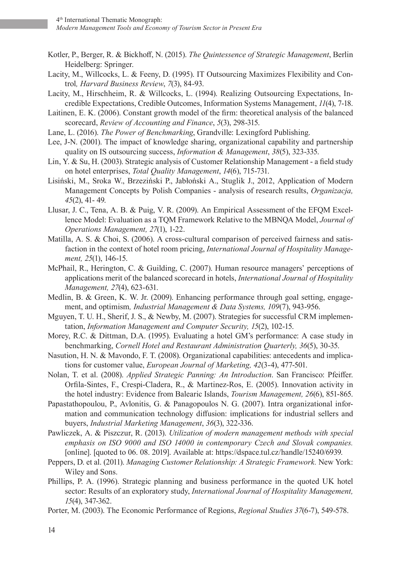- Kotler, P., Berger, R. & Bickhoff, N. (2015). *The Quintessence of Strategic Management*, Berlin Heidelberg: Springer.
- Lacity, M., Willcocks, L. & Feeny, D. (1995). IT Outsourcing Maximizes Flexibility and Control*, Harvard Business Review*, *7*(3), 84-93.
- Lacity, M., Hirschheim, R. & Willcocks, L. (1994). Realizing Outsourcing Expectations, Incredible Expectations, Credible Outcomes, Information Systems Management, *11*(4), 7-18.
- Laitinen, E. K. (2006). Constant growth model of the firm: theoretical analysis of the balanced scorecard, *Review of Accounting and Finance*, *5*(3), 298-315.
- Lane, L. (2016). *The Power of Benchmarking*, Grandville: Lexingford Publishing.
- Lee, J-N. (2001). The impact of knowledge sharing, organizational capability and partnership quality on IS outsourcing success, *Information & Management*, *38*(5), 323-335.
- Lin, Y. & Su, H. (2003). Strategic analysis of Customer Relationship Management a field study on hotel enterprises, *Total Quality Management*, *14*(6), 715-731.
- Lisiński, M., Sroka W., Brzeziński P., Jabłoński A., Stuglik J., 2012, Application of Modern Management Concepts by Polish Companies - analysis of research results, *Organizacja, 45*(2), 41- 49.
- Llusar, J. C., Tena, A. B. & Puig, V. R. (2009). An Empirical Assessment of the EFQM Excellence Model: Evaluation as a TQM Framework Relative to the MBNQA Model, *Journal of Operations Management, 27*(1), 1-22.
- Matilla, A. S. & Choi, S. (2006). A cross-cultural comparison of perceived fairness and satisfaction in the context of hotel room pricing, *International Journal of Hospitality Management, 25*(1), 146-15.
- McPhail, R., Herington, C. & Guilding, C. (2007). Human resource managers' perceptions of applications merit of the balanced scorecard in hotels, *International Journal of Hospitality Management, 27*(4), 623-631.
- Medlin, B. & Green, K. W. Jr. (2009). Enhancing performance through goal setting, engagement, and optimism*, Industrial Management & Data Systems, 109*(7), 943-956.
- Mguyen, T. U. H., Sherif, J. S., & Newby, M. (2007). Strategies for successful CRM implementation, *Information Management and Computer Security, 15*(2), 102-15.
- Morey, R.C. & Dittman, D.A. (1995). Evaluating a hotel GM's performance: A case study in benchmarking, *Cornell Hotel and Restaurant Administration Quarterly, 36*(5), 30-35.
- Nasution, H. N. & Mavondo, F. T. (2008). Organizational capabilities: antecedents and implications for customer value, *European Journal of Marketing, 42*(3-4), 477-501.
- Nolan, T. et al. (2008). *Applied Strategic Panning: An Introduction*. San Francisco: Pfeiffer. Orfila-Sintes, F., Crespi-Cladera, R., & Martinez-Ros, E. (2005). Innovation activity in the hotel industry: Evidence from Balearic Islands, *Tourism Management, 26*(6), 851-865.
- Papastathopoulou, P., Avlonitis, G. & Panagopoulos N. G. (2007). Intra organizational information and communication technology diffusion: implications for industrial sellers and buyers, *Industrial Marketing Management*, *36*(3), 322-336.
- Pawliczek, A. & Piszczur, R. (2013). *Utilization of modern management methods with special emphasis on ISO 9000 and ISO 14000 in contemporary Czech and Slovak companies.* [online]. [quoted to 06. 08. 2019]. Available at: https://dspace.tul.cz/handle/15240/6939.
- Peppers, D. et al. (2011). *Managing Customer Relationship: A Strategic Framework.* New York: Wiley and Sons.
- Phillips, P. A. (1996). Strategic planning and business performance in the quoted UK hotel sector: Results of an exploratory study, *International Journal of Hospitality Management, 15*(4), 347-362.
- Porter, M. (2003). The Economic Performance of Regions, *Regional Studies 37*(6-7), 549-578.